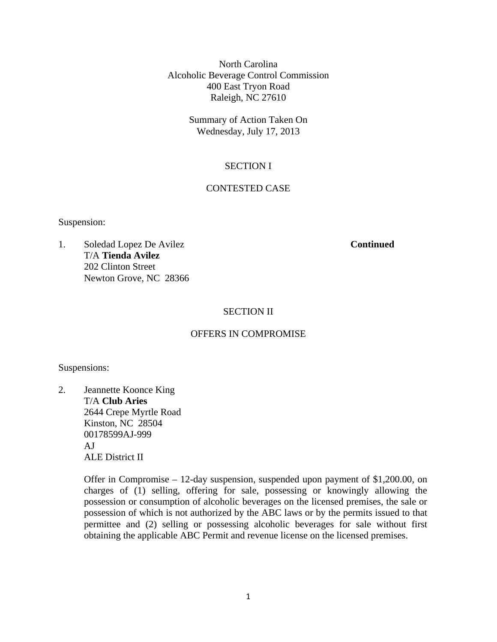North Carolina Alcoholic Beverage Control Commission 400 East Tryon Road Raleigh, NC 27610

> Summary of Action Taken On Wednesday, July 17, 2013

# SECTION I

## CONTESTED CASE

Suspension:

1. Soledad Lopez De Avilez **Continued** T/A **Tienda Avilez**  202 Clinton Street Newton Grove, NC 28366

## SECTION II

## OFFERS IN COMPROMISE

Suspensions:

2. Jeannette Koonce King T/A **Club Aries**  2644 Crepe Myrtle Road Kinston, NC 28504 00178599AJ-999 AJ ALE District II

> Offer in Compromise – 12-day suspension, suspended upon payment of \$1,200.00, on charges of (1) selling, offering for sale, possessing or knowingly allowing the possession or consumption of alcoholic beverages on the licensed premises, the sale or possession of which is not authorized by the ABC laws or by the permits issued to that permittee and (2) selling or possessing alcoholic beverages for sale without first obtaining the applicable ABC Permit and revenue license on the licensed premises.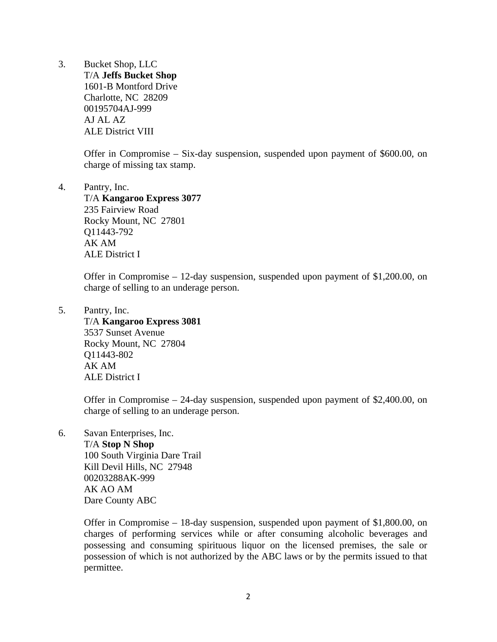3. Bucket Shop, LLC T/A **Jeffs Bucket Shop**  1601-B Montford Drive Charlotte, NC 28209 00195704AJ-999 AJ AL AZ ALE District VIII

> Offer in Compromise – Six-day suspension, suspended upon payment of \$600.00, on charge of missing tax stamp.

4. Pantry, Inc.

 T/A **Kangaroo Express 3077**  235 Fairview Road Rocky Mount, NC 27801 Q11443-792 AK AM ALE District I

Offer in Compromise – 12-day suspension, suspended upon payment of \$1,200.00, on charge of selling to an underage person.

5. Pantry, Inc.

 T/A **Kangaroo Express 3081**  3537 Sunset Avenue Rocky Mount, NC 27804 Q11443-802 AK AM ALE District I

Offer in Compromise – 24-day suspension, suspended upon payment of \$2,400.00, on charge of selling to an underage person.

6. Savan Enterprises, Inc.

 T/A **Stop N Shop**  100 South Virginia Dare Trail Kill Devil Hills, NC 27948 00203288AK-999 AK AO AM Dare County ABC

Offer in Compromise – 18-day suspension, suspended upon payment of \$1,800.00, on charges of performing services while or after consuming alcoholic beverages and possessing and consuming spirituous liquor on the licensed premises, the sale or possession of which is not authorized by the ABC laws or by the permits issued to that permittee.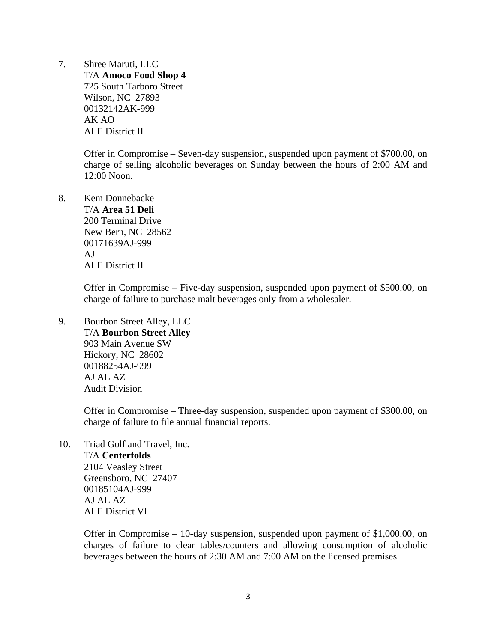7. Shree Maruti, LLC T/A **Amoco Food Shop 4**  725 South Tarboro Street Wilson, NC 27893 00132142AK-999 AK AO ALE District II

> Offer in Compromise – Seven-day suspension, suspended upon payment of \$700.00, on charge of selling alcoholic beverages on Sunday between the hours of 2:00 AM and 12:00 Noon.

8. Kem Donnebacke T/A **Area 51 Deli**  200 Terminal Drive New Bern, NC 28562 00171639AJ-999 AJ ALE District II

> Offer in Compromise – Five-day suspension, suspended upon payment of \$500.00, on charge of failure to purchase malt beverages only from a wholesaler.

9. Bourbon Street Alley, LLC T/A **Bourbon Street Alley**  903 Main Avenue SW Hickory, NC 28602 00188254AJ-999 AJ AL AZ Audit Division

> Offer in Compromise – Three-day suspension, suspended upon payment of \$300.00, on charge of failure to file annual financial reports.

10. Triad Golf and Travel, Inc. T/A **Centerfolds**  2104 Veasley Street Greensboro, NC 27407 00185104AJ-999 AJ AL AZ ALE District VI

> Offer in Compromise – 10-day suspension, suspended upon payment of \$1,000.00, on charges of failure to clear tables/counters and allowing consumption of alcoholic beverages between the hours of 2:30 AM and 7:00 AM on the licensed premises.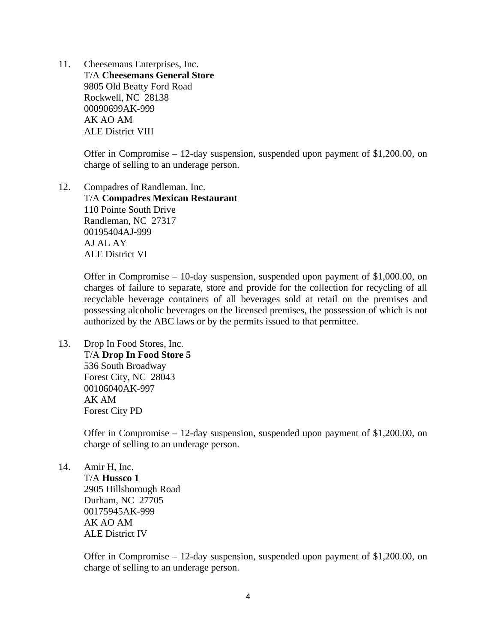11. Cheesemans Enterprises, Inc. T/A **Cheesemans General Store**  9805 Old Beatty Ford Road Rockwell, NC 28138 00090699AK-999 AK AO AM ALE District VIII

> Offer in Compromise – 12-day suspension, suspended upon payment of \$1,200.00, on charge of selling to an underage person.

12. Compadres of Randleman, Inc. T/A **Compadres Mexican Restaurant**  110 Pointe South Drive Randleman, NC 27317 00195404AJ-999 AJ AL AY ALE District VI

> Offer in Compromise – 10-day suspension, suspended upon payment of \$1,000.00, on charges of failure to separate, store and provide for the collection for recycling of all recyclable beverage containers of all beverages sold at retail on the premises and possessing alcoholic beverages on the licensed premises, the possession of which is not authorized by the ABC laws or by the permits issued to that permittee.

13. Drop In Food Stores, Inc. T/A **Drop In Food Store 5**  536 South Broadway Forest City, NC 28043 00106040AK-997 AK AM Forest City PD

> Offer in Compromise – 12-day suspension, suspended upon payment of \$1,200.00, on charge of selling to an underage person.

14. Amir H, Inc.

 T/A **Hussco 1**  2905 Hillsborough Road Durham, NC 27705 00175945AK-999 AK AO AM ALE District IV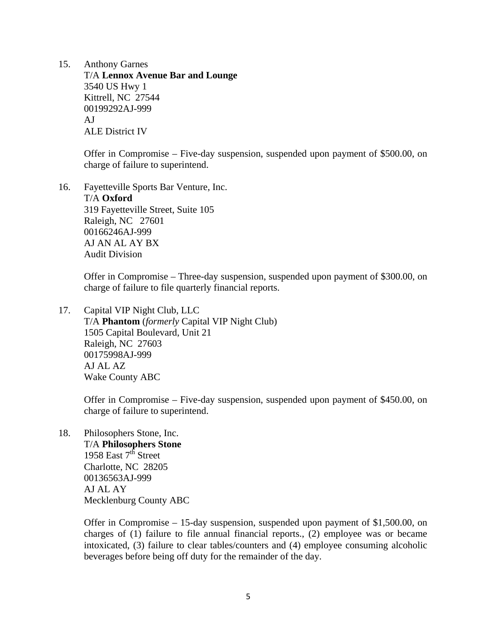15. Anthony Garnes T/A **Lennox Avenue Bar and Lounge**  3540 US Hwy 1 Kittrell, NC 27544 00199292AJ-999 AJ ALE District IV

> Offer in Compromise – Five-day suspension, suspended upon payment of \$500.00, on charge of failure to superintend.

16. Fayetteville Sports Bar Venture, Inc. T/A **Oxford** 

319 Fayetteville Street, Suite 105 Raleigh, NC 27601 00166246AJ-999 AJ AN AL AY BX Audit Division

Offer in Compromise – Three-day suspension, suspended upon payment of \$300.00, on charge of failure to file quarterly financial reports.

17. Capital VIP Night Club, LLC T/A **Phantom** (*formerly* Capital VIP Night Club) 1505 Capital Boulevard, Unit 21 Raleigh, NC 27603 00175998AJ-999 AJ AL AZ Wake County ABC

> Offer in Compromise – Five-day suspension, suspended upon payment of \$450.00, on charge of failure to superintend.

18. Philosophers Stone, Inc. T/A **Philosophers Stone**  1958 East  $7<sup>th</sup>$  Street Charlotte, NC 28205 00136563AJ-999 AJ AL AY Mecklenburg County ABC

> Offer in Compromise – 15-day suspension, suspended upon payment of \$1,500.00, on charges of (1) failure to file annual financial reports., (2) employee was or became intoxicated, (3) failure to clear tables/counters and (4) employee consuming alcoholic beverages before being off duty for the remainder of the day.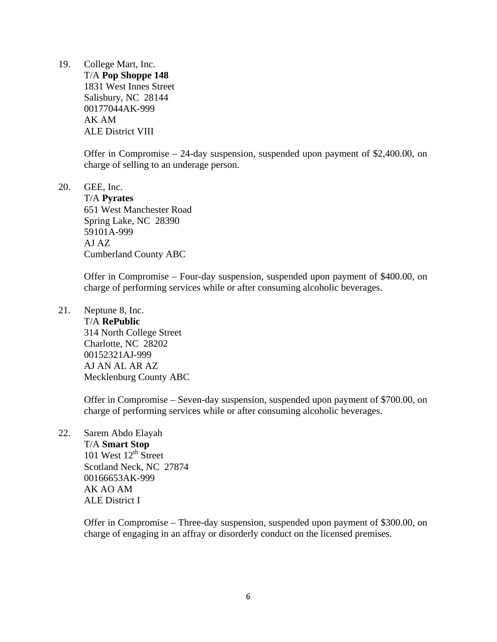19. College Mart, Inc.

 T/A **Pop Shoppe 148**  1831 West Innes Street Salisbury, NC 28144 00177044AK-999 AK AM ALE District VIII

Offer in Compromise – 24-day suspension, suspended upon payment of \$2,400.00, on charge of selling to an underage person.

20. GEE, Inc.

 T/A **Pyrates**  651 West Manchester Road Spring Lake, NC 28390 59101A-999 AJ AZ Cumberland County ABC

Offer in Compromise – Four-day suspension, suspended upon payment of \$400.00, on charge of performing services while or after consuming alcoholic beverages.

21. Neptune 8, Inc. T/A **RePublic**  314 North College Street Charlotte, NC 28202 00152321AJ-999 AJ AN AL AR AZ Mecklenburg County ABC

> Offer in Compromise – Seven-day suspension, suspended upon payment of \$700.00, on charge of performing services while or after consuming alcoholic beverages.

22. Sarem Abdo Elayah

 T/A **Smart Stop**  101 West  $12<sup>th</sup>$  Street Scotland Neck, NC 27874 00166653AK-999 AK AO AM ALE District I

Offer in Compromise – Three-day suspension, suspended upon payment of \$300.00, on charge of engaging in an affray or disorderly conduct on the licensed premises.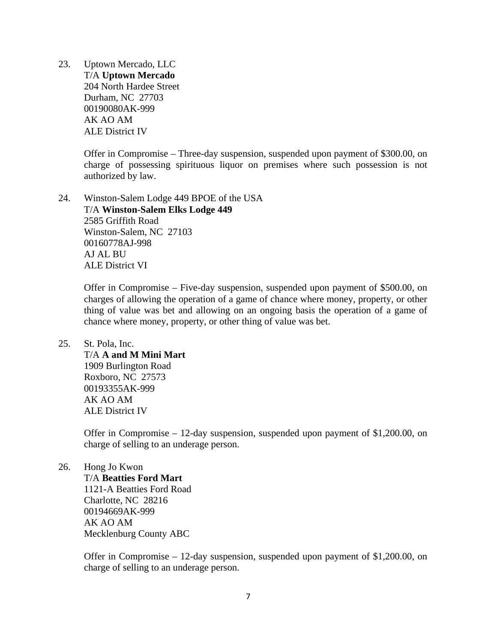23. Uptown Mercado, LLC T/A **Uptown Mercado**  204 North Hardee Street Durham, NC 27703 00190080AK-999 AK AO AM ALE District IV

> Offer in Compromise – Three-day suspension, suspended upon payment of \$300.00, on charge of possessing spirituous liquor on premises where such possession is not authorized by law.

24. Winston-Salem Lodge 449 BPOE of the USA T/A **Winston-Salem Elks Lodge 449**  2585 Griffith Road Winston-Salem, NC 27103 00160778AJ-998 AJ AL BU ALE District VI

> Offer in Compromise – Five-day suspension, suspended upon payment of \$500.00, on charges of allowing the operation of a game of chance where money, property, or other thing of value was bet and allowing on an ongoing basis the operation of a game of chance where money, property, or other thing of value was bet.

## 25. St. Pola, Inc.

 T/A **A and M Mini Mart**  1909 Burlington Road Roxboro, NC 27573 00193355AK-999 AK AO AM ALE District IV

Offer in Compromise – 12-day suspension, suspended upon payment of \$1,200.00, on charge of selling to an underage person.

#### 26. Hong Jo Kwon

T/A **Beatties Ford Mart** 

1121-A Beatties Ford Road Charlotte, NC 28216 00194669AK-999 AK AO AM Mecklenburg County ABC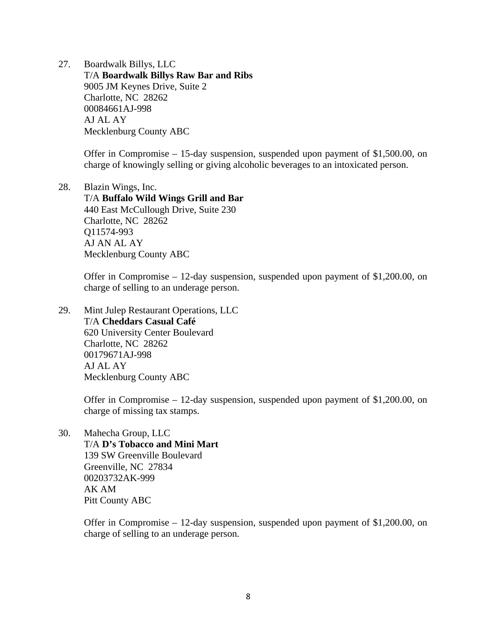27. Boardwalk Billys, LLC T/A **Boardwalk Billys Raw Bar and Ribs**  9005 JM Keynes Drive, Suite 2 Charlotte, NC 28262 00084661AJ-998 AJ AL AY Mecklenburg County ABC

> Offer in Compromise – 15-day suspension, suspended upon payment of \$1,500.00, on charge of knowingly selling or giving alcoholic beverages to an intoxicated person.

28. Blazin Wings, Inc. T/A **Buffalo Wild Wings Grill and Bar**  440 East McCullough Drive, Suite 230 Charlotte, NC 28262 Q11574-993 AJ AN AL AY Mecklenburg County ABC

> Offer in Compromise – 12-day suspension, suspended upon payment of \$1,200.00, on charge of selling to an underage person.

29. Mint Julep Restaurant Operations, LLC T/A **Cheddars Casual Café**  620 University Center Boulevard Charlotte, NC 28262 00179671AJ-998 AJ AL AY Mecklenburg County ABC

> Offer in Compromise – 12-day suspension, suspended upon payment of \$1,200.00, on charge of missing tax stamps.

30. Mahecha Group, LLC

 T/A **D's Tobacco and Mini Mart**  139 SW Greenville Boulevard Greenville, NC 27834 00203732AK-999 AK AM Pitt County ABC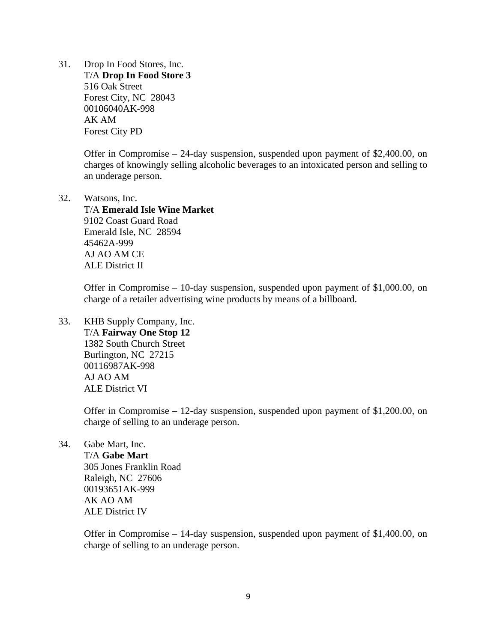31. Drop In Food Stores, Inc. T/A **Drop In Food Store 3**  516 Oak Street Forest City, NC 28043 00106040AK-998 AK AM Forest City PD

> Offer in Compromise – 24-day suspension, suspended upon payment of \$2,400.00, on charges of knowingly selling alcoholic beverages to an intoxicated person and selling to an underage person.

32. Watsons, Inc. T/A **Emerald Isle Wine Market**  9102 Coast Guard Road Emerald Isle, NC 28594 45462A-999 AJ AO AM CE ALE District II

> Offer in Compromise – 10-day suspension, suspended upon payment of \$1,000.00, on charge of a retailer advertising wine products by means of a billboard.

33. KHB Supply Company, Inc. T/A **Fairway One Stop 12**  1382 South Church Street Burlington, NC 27215 00116987AK-998 AJ AO AM ALE District VI

> Offer in Compromise – 12-day suspension, suspended upon payment of \$1,200.00, on charge of selling to an underage person.

34. Gabe Mart, Inc.

 T/A **Gabe Mart**  305 Jones Franklin Road Raleigh, NC 27606 00193651AK-999 AK AO AM ALE District IV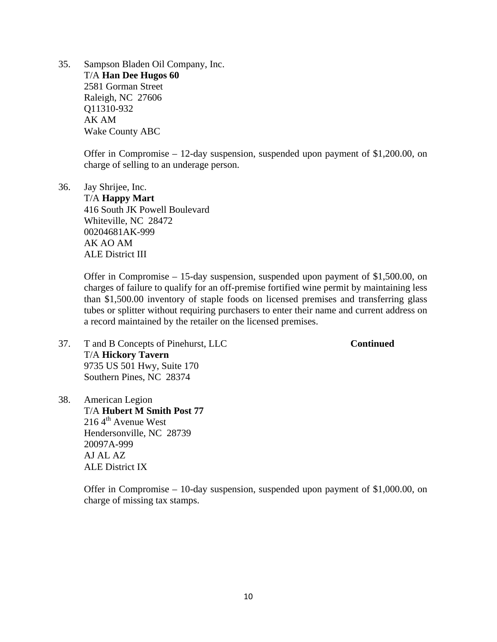35. Sampson Bladen Oil Company, Inc. T/A **Han Dee Hugos 60**  2581 Gorman Street Raleigh, NC 27606 Q11310-932 AK AM Wake County ABC

> Offer in Compromise – 12-day suspension, suspended upon payment of \$1,200.00, on charge of selling to an underage person.

36. Jay Shrijee, Inc. T/A **Happy Mart**  416 South JK Powell Boulevard Whiteville, NC 28472 00204681AK-999 AK AO AM ALE District III

> Offer in Compromise – 15-day suspension, suspended upon payment of \$1,500.00, on charges of failure to qualify for an off-premise fortified wine permit by maintaining less than \$1,500.00 inventory of staple foods on licensed premises and transferring glass tubes or splitter without requiring purchasers to enter their name and current address on a record maintained by the retailer on the licensed premises.

- 37. T and B Concepts of Pinehurst, LLC **Continued** T/A **Hickory Tavern**  9735 US 501 Hwy, Suite 170 Southern Pines, NC 28374
- 38. American Legion T/A **Hubert M Smith Post 77**   $2164^{\text{th}}$  Avenue West Hendersonville, NC 28739 20097A-999 AJ AL AZ ALE District IX

Offer in Compromise – 10-day suspension, suspended upon payment of \$1,000.00, on charge of missing tax stamps.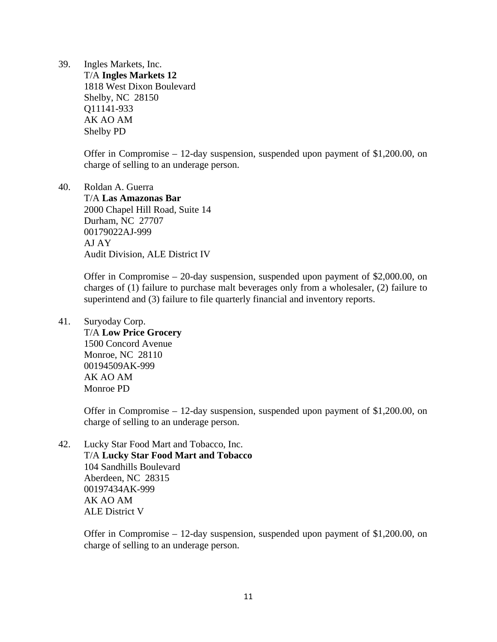39. Ingles Markets, Inc.

 T/A **Ingles Markets 12**  1818 West Dixon Boulevard Shelby, NC 28150 Q11141-933 AK AO AM Shelby PD

Offer in Compromise – 12-day suspension, suspended upon payment of \$1,200.00, on charge of selling to an underage person.

40. Roldan A. Guerra T/A **Las Amazonas Bar**  2000 Chapel Hill Road, Suite 14 Durham, NC 27707 00179022AJ-999 AJ AY Audit Division, ALE District IV

> Offer in Compromise – 20-day suspension, suspended upon payment of \$2,000.00, on charges of (1) failure to purchase malt beverages only from a wholesaler, (2) failure to superintend and (3) failure to file quarterly financial and inventory reports.

41. Suryoday Corp.

 T/A **Low Price Grocery**  1500 Concord Avenue Monroe, NC 28110 00194509AK-999 AK AO AM Monroe PD

Offer in Compromise – 12-day suspension, suspended upon payment of \$1,200.00, on charge of selling to an underage person.

42. Lucky Star Food Mart and Tobacco, Inc. T/A **Lucky Star Food Mart and Tobacco**  104 Sandhills Boulevard Aberdeen, NC 28315 00197434AK-999 AK AO AM ALE District V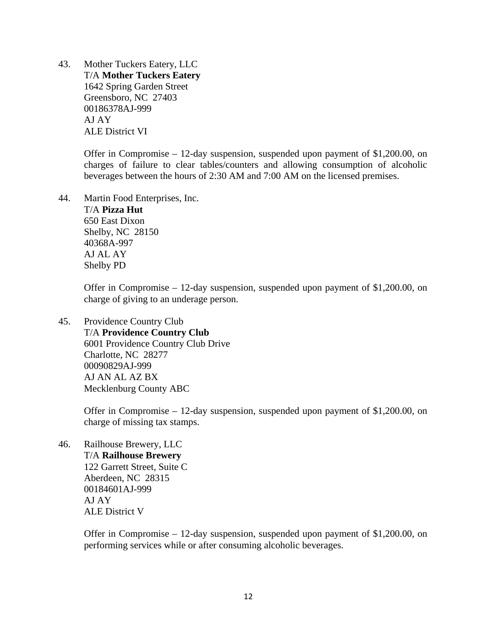43. Mother Tuckers Eatery, LLC T/A **Mother Tuckers Eatery**  1642 Spring Garden Street Greensboro, NC 27403 00186378AJ-999 AJ AY ALE District VI

> Offer in Compromise – 12-day suspension, suspended upon payment of \$1,200.00, on charges of failure to clear tables/counters and allowing consumption of alcoholic beverages between the hours of 2:30 AM and 7:00 AM on the licensed premises.

44. Martin Food Enterprises, Inc. T/A **Pizza Hut**  650 East Dixon Shelby, NC 28150 40368A-997 AJ AL AY Shelby PD

> Offer in Compromise – 12-day suspension, suspended upon payment of \$1,200.00, on charge of giving to an underage person.

45. Providence Country Club T/A **Providence Country Club**  6001 Providence Country Club Drive Charlotte, NC 28277 00090829AJ-999 AJ AN AL AZ BX Mecklenburg County ABC

> Offer in Compromise – 12-day suspension, suspended upon payment of \$1,200.00, on charge of missing tax stamps.

46. Railhouse Brewery, LLC T/A **Railhouse Brewery**  122 Garrett Street, Suite C Aberdeen, NC 28315 00184601AJ-999 AJ AY ALE District V

> Offer in Compromise – 12-day suspension, suspended upon payment of \$1,200.00, on performing services while or after consuming alcoholic beverages.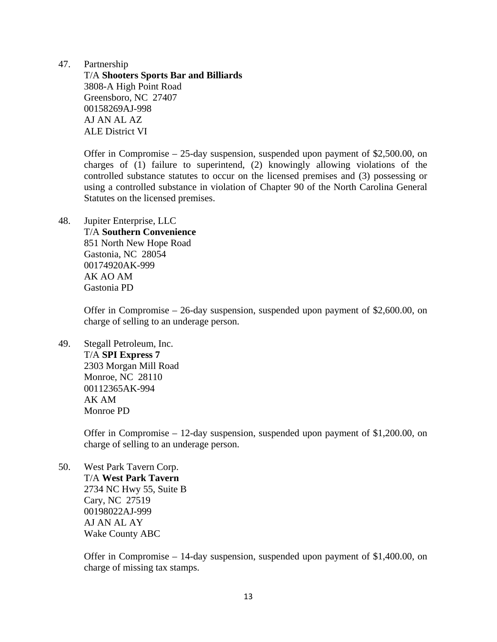47. Partnership

 T/A **Shooters Sports Bar and Billiards**  3808-A High Point Road Greensboro, NC 27407 00158269AJ-998 AJ AN AL AZ ALE District VI

Offer in Compromise – 25-day suspension, suspended upon payment of \$2,500.00, on charges of (1) failure to superintend, (2) knowingly allowing violations of the controlled substance statutes to occur on the licensed premises and (3) possessing or using a controlled substance in violation of Chapter 90 of the North Carolina General Statutes on the licensed premises.

48. Jupiter Enterprise, LLC T/A **Southern Convenience**  851 North New Hope Road Gastonia, NC 28054 00174920AK-999 AK AO AM Gastonia PD

> Offer in Compromise – 26-day suspension, suspended upon payment of \$2,600.00, on charge of selling to an underage person.

49. Stegall Petroleum, Inc. T/A **SPI Express 7**  2303 Morgan Mill Road Monroe, NC 28110 00112365AK-994 AK AM Monroe PD

> Offer in Compromise – 12-day suspension, suspended upon payment of \$1,200.00, on charge of selling to an underage person.

50. West Park Tavern Corp. T/A **West Park Tavern**  2734 NC Hwy 55, Suite B Cary, NC 27519 00198022AJ-999 AJ AN AL AY Wake County ABC

> Offer in Compromise – 14-day suspension, suspended upon payment of \$1,400.00, on charge of missing tax stamps.